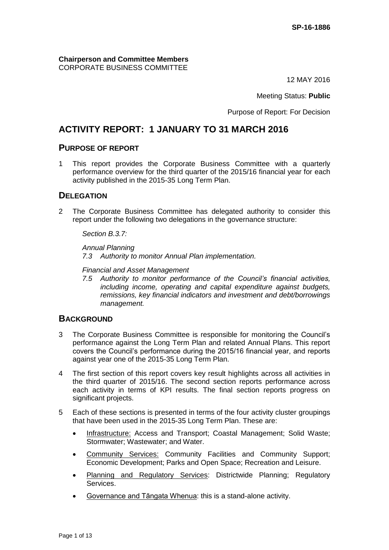**Chairperson and Committee Members** CORPORATE BUSINESS COMMITTEE

12 MAY 2016

Meeting Status: **Public**

Purpose of Report: For Decision

# **ACTIVITY REPORT: 1 JANUARY TO 31 MARCH 2016**

### **PURPOSE OF REPORT**

1 This report provides the Corporate Business Committee with a quarterly performance overview for the third quarter of the 2015/16 financial year for each activity published in the 2015-35 Long Term Plan.

## **DELEGATION**

2 The Corporate Business Committee has delegated authority to consider this report under the following two delegations in the governance structure:

*Section B.3.7:*

*Annual Planning 7.3 Authority to monitor Annual Plan implementation.*

*Financial and Asset Management*

*7.5 Authority to monitor performance of the Council's financial activities, including income, operating and capital expenditure against budgets, remissions, key financial indicators and investment and debt/borrowings management.*

### **BACKGROUND**

- 3 The Corporate Business Committee is responsible for monitoring the Council's performance against the Long Term Plan and related Annual Plans. This report covers the Council's performance during the 2015/16 financial year, and reports against year one of the 2015-35 Long Term Plan.
- 4 The first section of this report covers key result highlights across all activities in the third quarter of 2015/16. The second section reports performance across each activity in terms of KPI results. The final section reports progress on significant projects.
- 5 Each of these sections is presented in terms of the four activity cluster groupings that have been used in the 2015-35 Long Term Plan. These are:
	- Infrastructure: Access and Transport; Coastal Management; Solid Waste; Stormwater; Wastewater; and Water.
	- Community Services: Community Facilities and Community Support; Economic Development; Parks and Open Space; Recreation and Leisure.
	- Planning and Regulatory Services: Districtwide Planning; Regulatory Services.
	- Governance and Tāngata Whenua: this is a stand-alone activity.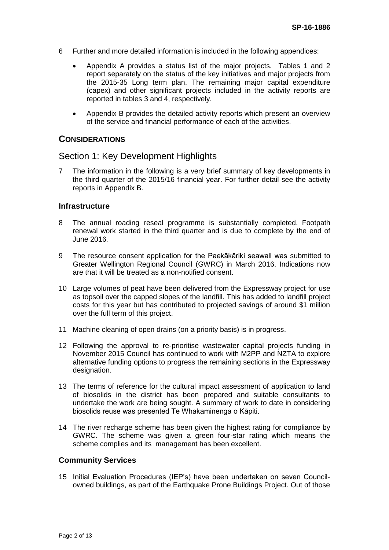- 6 Further and more detailed information is included in the following appendices:
	- Appendix A provides a status list of the major projects. Tables 1 and 2 report separately on the status of the key initiatives and major projects from the 2015-35 Long term plan. The remaining major capital expenditure (capex) and other significant projects included in the activity reports are reported in tables 3 and 4, respectively.
	- Appendix B provides the detailed activity reports which present an overview of the service and financial performance of each of the activities.

### **CONSIDERATIONS**

### Section 1: Key Development Highlights

7 The information in the following is a very brief summary of key developments in the third quarter of the 2015/16 financial year. For further detail see the activity reports in Appendix B.

#### **Infrastructure**

- 8 The annual roading reseal programme is substantially completed. Footpath renewal work started in the third quarter and is due to complete by the end of June 2016.
- 9 The resource consent application for the Paekākāriki seawall was submitted to Greater Wellington Regional Council (GWRC) in March 2016. Indications now are that it will be treated as a non-notified consent.
- 10 Large volumes of peat have been delivered from the Expressway project for use as topsoil over the capped slopes of the landfill. This has added to landfill project costs for this year but has contributed to projected savings of around \$1 million over the full term of this project.
- 11 Machine cleaning of open drains (on a priority basis) is in progress.
- 12 Following the approval to re-prioritise wastewater capital projects funding in November 2015 Council has continued to work with M2PP and NZTA to explore alternative funding options to progress the remaining sections in the Expressway designation.
- 13 The terms of reference for the cultural impact assessment of application to land of biosolids in the district has been prepared and suitable consultants to undertake the work are being sought. A summary of work to date in considering biosolids reuse was presented Te Whakaminenga o Kāpiti.
- 14 The river recharge scheme has been given the highest rating for compliance by GWRC. The scheme was given a green four-star rating which means the scheme complies and its management has been excellent.

#### **Community Services**

15 Initial Evaluation Procedures (IEP's) have been undertaken on seven Councilowned buildings, as part of the Earthquake Prone Buildings Project. Out of those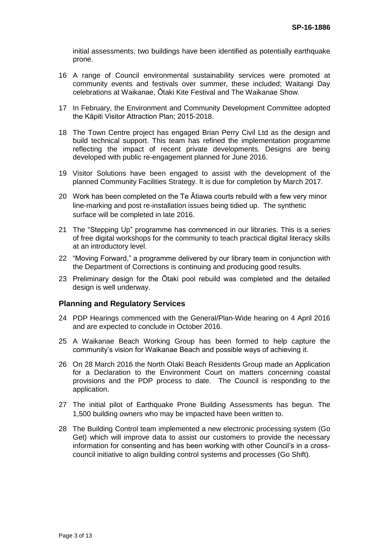initial assessments, two buildings have been identified as potentially earthquake prone.

- 16 A range of Council environmental sustainability services were promoted at community events and festivals over summer, these included; Waitangi Day celebrations at Waikanae, Ōtaki Kite Festival and The Waikanae Show.
- 17 In February, the Environment and Community Development Committee adopted the Kāpiti Visitor Attraction Plan; 2015-2018.
- 18 The Town Centre project has engaged Brian Perry Civil Ltd as the design and build technical support. This team has refined the implementation programme reflecting the impact of recent private developments. Designs are being developed with public re-engagement planned for June 2016.
- 19 Visitor Solutions have been engaged to assist with the development of the planned Community Facilities Strategy. It is due for completion by March 2017.
- 20 Work has been completed on the Te Ātiawa courts rebuild with a few very minor line-marking and post re-installation issues being tidied up. The synthetic surface will be completed in late 2016.
- 21 The "Stepping Up" programme has commenced in our libraries. This is a series of free digital workshops for the community to teach practical digital literacy skills at an introductory level.
- 22 "Moving Forward," a programme delivered by our library team in conjunction with the Department of Corrections is continuing and producing good results.
- 23 Preliminary design for the Ōtaki pool rebuild was completed and the detailed design is well underway.

#### **Planning and Regulatory Services**

- 24 PDP Hearings commenced with the General/Plan-Wide hearing on 4 April 2016 and are expected to conclude in October 2016.
- 25 A Waikanae Beach Working Group has been formed to help capture the community's vision for Waikanae Beach and possible ways of achieving it.
- 26 On 28 March 2016 the North Otaki Beach Residents Group made an Application for a Declaration to the Environment Court on matters concerning coastal provisions and the PDP process to date. The Council is responding to the application.
- 27 The initial pilot of Earthquake Prone Building Assessments has begun. The 1,500 building owners who may be impacted have been written to.
- 28 The Building Control team implemented a new electronic processing system (Go Get) which will improve data to assist our customers to provide the necessary information for consenting and has been working with other Council's in a crosscouncil initiative to align building control systems and processes (Go Shift).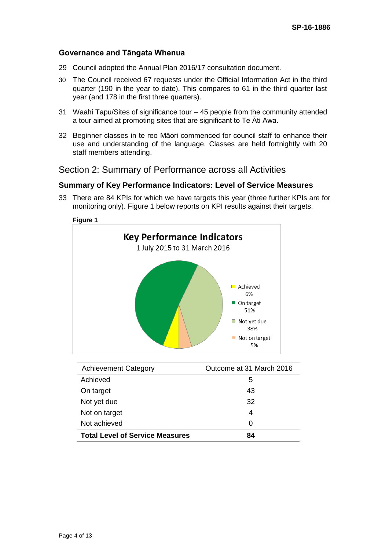#### **Governance and Tāngata Whenua**

- 29 Council adopted the Annual Plan 2016/17 consultation document.
- 30 The Council received 67 requests under the Official Information Act in the third quarter (190 in the year to date). This compares to 61 in the third quarter last year (and 178 in the first three quarters).
- 31 Waahi Tapu/Sites of significance tour 45 people from the community attended a tour aimed at promoting sites that are significant to Te Āti Awa.
- 32 Beginner classes in te reo Māori commenced for council staff to enhance their use and understanding of the language. Classes are held fortnightly with 20 staff members attending.

## Section 2: Summary of Performance across all Activities

### **Summary of Key Performance Indicators: Level of Service Measures**

33 There are 84 KPIs for which we have targets this year (three further KPIs are for monitoring only). Figure 1 below reports on KPI results against their targets.



| <b>Achievement Category</b>            | Outcome at 31 March 2016 |
|----------------------------------------|--------------------------|
| Achieved                               | 5                        |
| On target                              | 43                       |
| Not yet due                            | 32                       |
| Not on target                          | 4                        |
| Not achieved                           | O                        |
| <b>Total Level of Service Measures</b> | 84                       |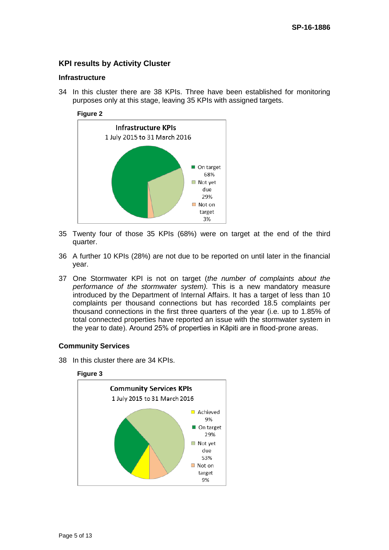### **KPI results by Activity Cluster**

#### **Infrastructure**

34 In this cluster there are 38 KPIs. Three have been established for monitoring purposes only at this stage, leaving 35 KPIs with assigned targets.

#### **Figure 2**



- 35 Twenty four of those 35 KPIs (68%) were on target at the end of the third quarter.
- 36 A further 10 KPIs (28%) are not due to be reported on until later in the financial year.
- 37 One Stormwater KPI is not on target (*the number of complaints about the performance of the stormwater system).* This is a new mandatory measure introduced by the Department of Internal Affairs. It has a target of less than 10 complaints per thousand connections but has recorded 18.5 complaints per thousand connections in the first three quarters of the year (i.e. up to 1.85% of total connected properties have reported an issue with the stormwater system in the year to date). Around 25% of properties in Kāpiti are in flood-prone areas.

#### **Community Services**

38 In this cluster there are 34 KPIs.

#### **Figure 3**

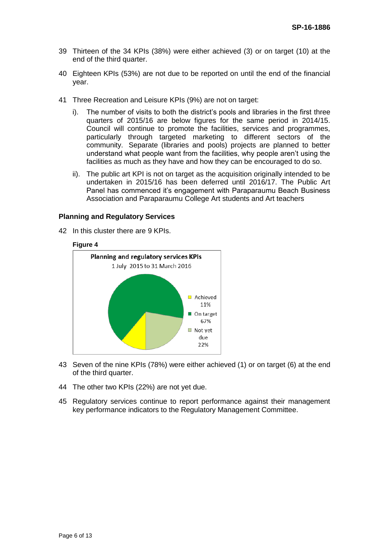- 39 Thirteen of the 34 KPIs (38%) were either achieved (3) or on target (10) at the end of the third quarter.
- 40 Eighteen KPIs (53%) are not due to be reported on until the end of the financial year.
- 41 Three Recreation and Leisure KPIs (9%) are not on target:
	- i). The number of visits to both the district's pools and libraries in the first three quarters of 2015/16 are below figures for the same period in 2014/15. Council will continue to promote the facilities, services and programmes, particularly through targeted marketing to different sectors of the community. Separate (libraries and pools) projects are planned to better understand what people want from the facilities, why people aren't using the facilities as much as they have and how they can be encouraged to do so.
	- ii). The public art KPI is not on target as the acquisition originally intended to be undertaken in 2015/16 has been deferred until 2016/17. The Public Art Panel has commenced it's engagement with Paraparaumu Beach Business Association and Paraparaumu College Art students and Art teachers

#### **Planning and Regulatory Services**

42 In this cluster there are 9 KPIs.

#### **Figure 4**



- 43 Seven of the nine KPIs (78%) were either achieved (1) or on target (6) at the end of the third quarter.
- 44 The other two KPIs (22%) are not yet due.
- 45 Regulatory services continue to report performance against their management key performance indicators to the Regulatory Management Committee.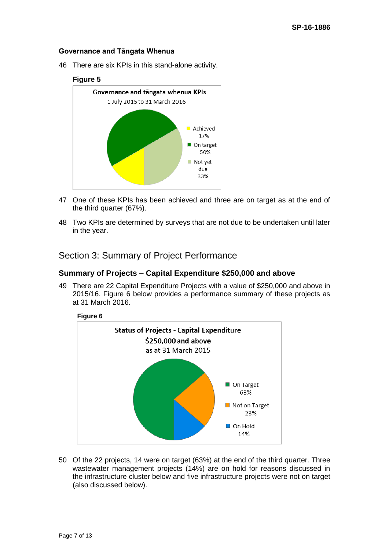#### **Governance and Tāngata Whenua**

46 There are six KPIs in this stand-alone activity.

#### **Figure 5**



- 47 One of these KPIs has been achieved and three are on target as at the end of the third quarter (67%).
- 48 Two KPIs are determined by surveys that are not due to be undertaken until later in the year.

### Section 3: Summary of Project Performance

#### **Summary of Projects – Capital Expenditure \$250,000 and above**

49 There are 22 Capital Expenditure Projects with a value of \$250,000 and above in 2015/16. Figure 6 below provides a performance summary of these projects as at 31 March 2016.



50 Of the 22 projects, 14 were on target (63%) at the end of the third quarter. Three wastewater management projects (14%) are on hold for reasons discussed in the infrastructure cluster below and five infrastructure projects were not on target (also discussed below).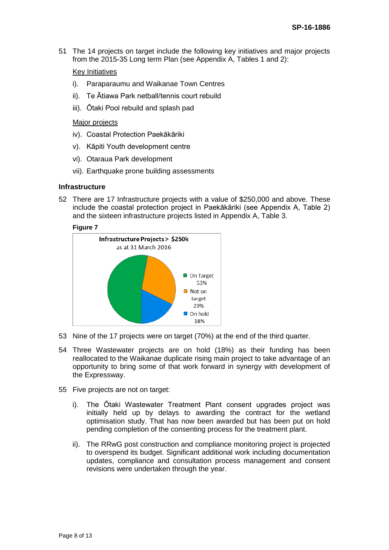51 The 14 projects on target include the following key initiatives and major projects from the 2015-35 Long term Plan (see Appendix A, Tables 1 and 2):

#### Key Initiatives

- i). Paraparaumu and Waikanae Town Centres
- ii). Te Ātiawa Park netball/tennis court rebuild
- iii). Ōtaki Pool rebuild and splash pad

#### Major projects

- iv). Coastal Protection Paekākāriki
- v). Kāpiti Youth development centre
- vi). Otaraua Park development
- vii). Earthquake prone building assessments

#### **Infrastructure**

52 There are 17 Infrastructure projects with a value of \$250,000 and above. These include the coastal protection project in Paekākāriki (see Appendix A, Table 2) and the sixteen infrastructure projects listed in Appendix A, Table 3.

#### **Figure 7**



- 53 Nine of the 17 projects were on target (70%) at the end of the third quarter.
- 54 Three Wastewater projects are on hold (18%) as their funding has been reallocated to the Waikanae duplicate rising main project to take advantage of an opportunity to bring some of that work forward in synergy with development of the Expressway.
- 55 Five projects are not on target:
	- i). The Ōtaki Wastewater Treatment Plant consent upgrades project was initially held up by delays to awarding the contract for the wetland optimisation study. That has now been awarded but has been put on hold pending completion of the consenting process for the treatment plant.
	- ii). The RRwG post construction and compliance monitoring project is projected to overspend its budget. Significant additional work including documentation updates, compliance and consultation process management and consent revisions were undertaken through the year.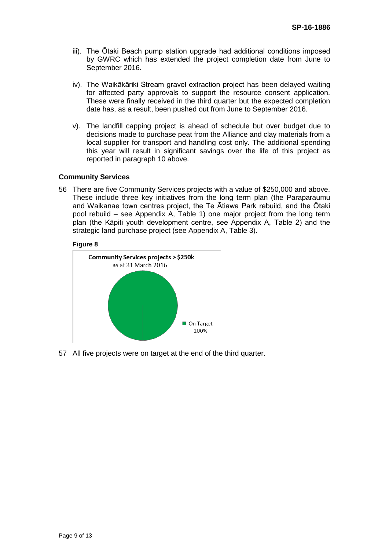- iii). The Ōtaki Beach pump station upgrade had additional conditions imposed by GWRC which has extended the project completion date from June to September 2016.
- iv). The Waikākāriki Stream gravel extraction project has been delayed waiting for affected party approvals to support the resource consent application. These were finally received in the third quarter but the expected completion date has, as a result, been pushed out from June to September 2016.
- v). The landfill capping project is ahead of schedule but over budget due to decisions made to purchase peat from the Alliance and clay materials from a local supplier for transport and handling cost only. The additional spending this year will result in significant savings over the life of this project as reported in paragraph 10 above.

#### **Community Services**

56 There are five Community Services projects with a value of \$250,000 and above. These include three key initiatives from the long term plan (the Paraparaumu and Waikanae town centres project, the Te Ātiawa Park rebuild, and the Ōtaki pool rebuild – see Appendix A, Table 1) one major project from the long term plan (the Kāpiti youth development centre, see Appendix A, Table 2) and the strategic land purchase project (see Appendix A, Table 3).

#### **Figure 8**



57 All five projects were on target at the end of the third quarter.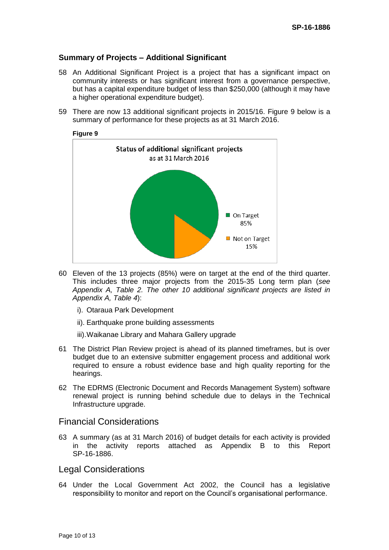### **Summary of Projects – Additional Significant**

- 58 An Additional Significant Project is a project that has a significant impact on community interests or has significant interest from a governance perspective, but has a capital expenditure budget of less than \$250,000 (although it may have a higher operational expenditure budget).
- 59 There are now 13 additional significant projects in 2015/16. Figure 9 below is a summary of performance for these projects as at 31 March 2016.



- 60 Eleven of the 13 projects (85%) were on target at the end of the third quarter. This includes three major projects from the 2015-35 Long term plan (*see Appendix A, Table 2. The other 10 additional significant projects are listed in Appendix A, Table 4*):
	- i). Otaraua Park Development
	- ii). Earthquake prone building assessments
	- iii).Waikanae Library and Mahara Gallery upgrade
- 61 The District Plan Review project is ahead of its planned timeframes, but is over budget due to an extensive submitter engagement process and additional work required to ensure a robust evidence base and high quality reporting for the hearings.
- 62 The EDRMS (Electronic Document and Records Management System) software renewal project is running behind schedule due to delays in the Technical Infrastructure upgrade.

### Financial Considerations

63 A summary (as at 31 March 2016) of budget details for each activity is provided in the activity reports attached as Appendix B to this Report SP-16-1886.

#### Legal Considerations

64 Under the Local Government Act 2002, the Council has a legislative responsibility to monitor and report on the Council's organisational performance.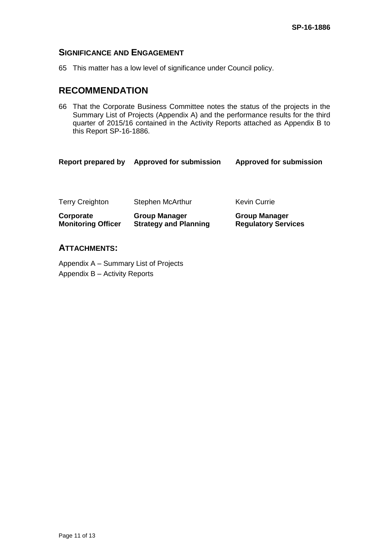### **SIGNIFICANCE AND ENGAGEMENT**

65 This matter has a low level of significance under Council policy.

## **RECOMMENDATION**

66 That the Corporate Business Committee notes the status of the projects in the Summary List of Projects (Appendix A) and the performance results for the third quarter of 2015/16 contained in the Activity Reports attached as Appendix B to this Report SP-16-1886.

| <b>Report prepared by</b>              | <b>Approved for submission</b>                       | <b>Approved for submission</b>                     |
|----------------------------------------|------------------------------------------------------|----------------------------------------------------|
|                                        |                                                      |                                                    |
| <b>Terry Creighton</b>                 | <b>Stephen McArthur</b>                              | <b>Kevin Currie</b>                                |
| Corporate<br><b>Monitoring Officer</b> | <b>Group Manager</b><br><b>Strategy and Planning</b> | <b>Group Manager</b><br><b>Regulatory Services</b> |

### **ATTACHMENTS:**

Appendix A – Summary List of Projects Appendix B – Activity Reports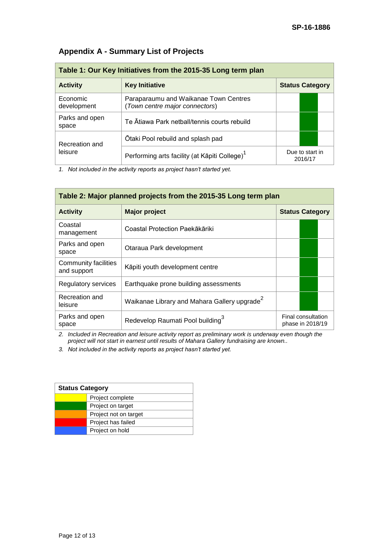| Table 1: Our Key Initiatives from the 2015-35 Long term plan |                                                                         |                            |  |
|--------------------------------------------------------------|-------------------------------------------------------------------------|----------------------------|--|
| <b>Activity</b>                                              | <b>Key Initiative</b>                                                   | <b>Status Category</b>     |  |
| Economic<br>development                                      | Paraparaumu and Waikanae Town Centres<br>(Town centre major connectors) |                            |  |
| Parks and open<br>space                                      | Te Ātiawa Park netball/tennis courts rebuild                            |                            |  |
| Recreation and<br>leisure                                    | Otaki Pool rebuild and splash pad                                       |                            |  |
|                                                              | Performing arts facility (at Kāpiti College) <sup>1</sup>               | Due to start in<br>2016/17 |  |

## **Appendix A - Summary List of Projects**

*1. Not included in the activity reports as project hasn't started yet.*

| Table 2: Major planned projects from the 2015-35 Long term plan |                                                          |                                        |  |  |
|-----------------------------------------------------------------|----------------------------------------------------------|----------------------------------------|--|--|
| <b>Activity</b>                                                 | <b>Major project</b>                                     | <b>Status Category</b>                 |  |  |
| Coastal<br>management                                           | Coastal Protection Paekākāriki                           |                                        |  |  |
| Parks and open<br>space                                         | Otaraua Park development                                 |                                        |  |  |
| Community facilities<br>and support                             | Kāpiti youth development centre                          |                                        |  |  |
| Regulatory services                                             | Earthquake prone building assessments                    |                                        |  |  |
| Recreation and<br>leisure                                       | Waikanae Library and Mahara Gallery upgrade <sup>2</sup> |                                        |  |  |
| Parks and open<br>space                                         | Redevelop Raumati Pool building <sup>3</sup>             | Final consultation<br>phase in 2018/19 |  |  |

*2. Included in Recreation and leisure activity report as preliminary work is underway even though the project will not start in earnest until results of Mahara Gallery fundraising are known..*

*3. Not included in the activity reports as project hasn't started yet.*

| <b>Status Category</b> |                       |
|------------------------|-----------------------|
|                        | Project complete      |
|                        | Project on target     |
|                        | Project not on target |
|                        | Project has failed    |
|                        | Project on hold       |